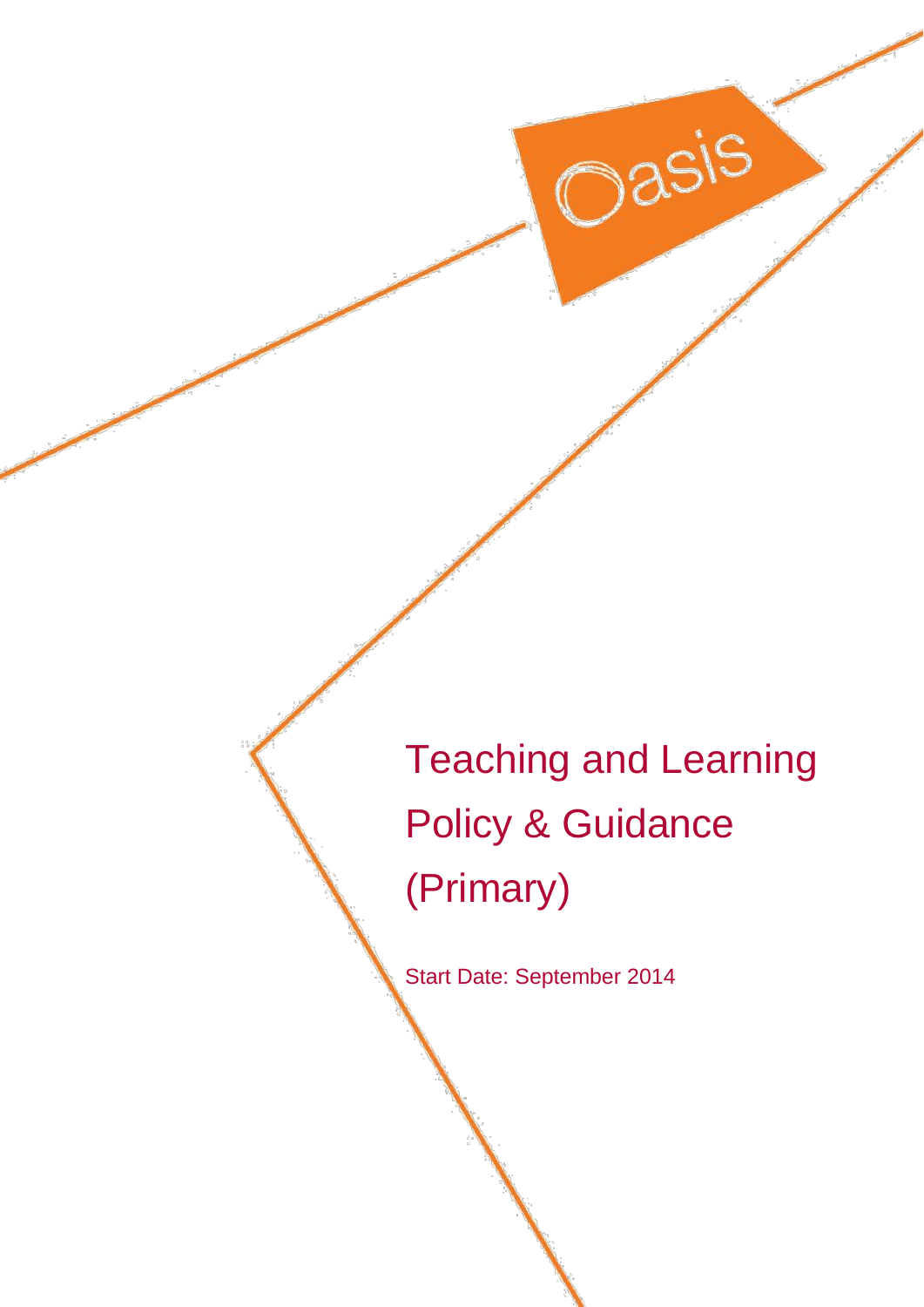Teaching and Learning Policy & Guidance (Primary)

Oasis

Start Date: September 2014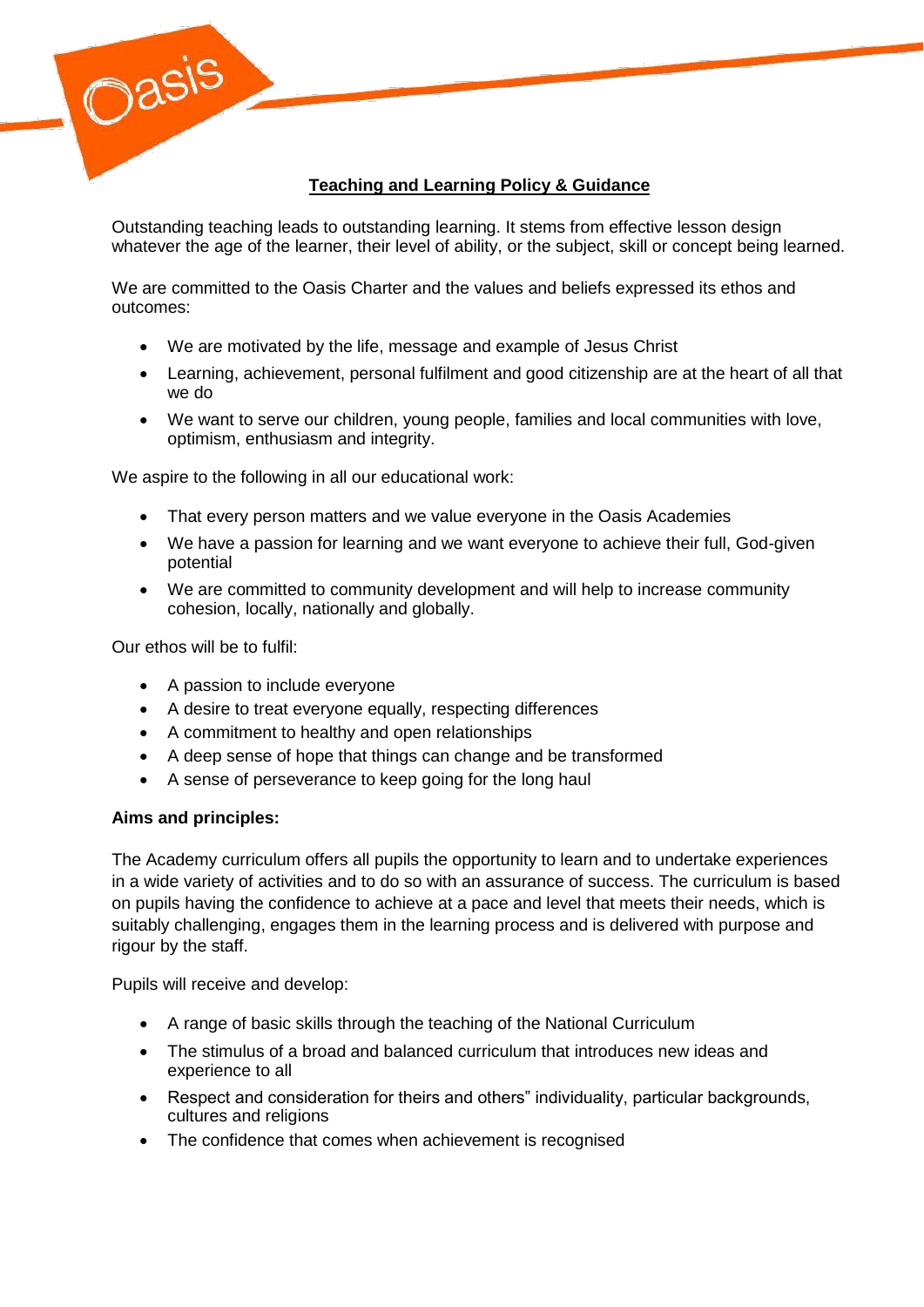

# **Teaching and Learning Policy & Guidance**

Outstanding teaching leads to outstanding learning. It stems from effective lesson design whatever the age of the learner, their level of ability, or the subject, skill or concept being learned.

We are committed to the Oasis Charter and the values and beliefs expressed its ethos and outcomes:

- We are motivated by the life, message and example of Jesus Christ
- Learning, achievement, personal fulfilment and good citizenship are at the heart of all that we do
- We want to serve our children, young people, families and local communities with love, optimism, enthusiasm and integrity.

We aspire to the following in all our educational work:

- That every person matters and we value everyone in the Oasis Academies
- We have a passion for learning and we want everyone to achieve their full, God-given potential
- We are committed to community development and will help to increase community cohesion, locally, nationally and globally.

Our ethos will be to fulfil:

- A passion to include everyone
- A desire to treat everyone equally, respecting differences
- A commitment to healthy and open relationships
- A deep sense of hope that things can change and be transformed
- A sense of perseverance to keep going for the long haul

### **Aims and principles:**

The Academy curriculum offers all pupils the opportunity to learn and to undertake experiences in a wide variety of activities and to do so with an assurance of success. The curriculum is based on pupils having the confidence to achieve at a pace and level that meets their needs, which is suitably challenging, engages them in the learning process and is delivered with purpose and rigour by the staff.

Pupils will receive and develop:

- A range of basic skills through the teaching of the National Curriculum
- The stimulus of a broad and balanced curriculum that introduces new ideas and experience to all
- Respect and consideration for theirs and others" individuality, particular backgrounds, cultures and religions
- The confidence that comes when achievement is recognised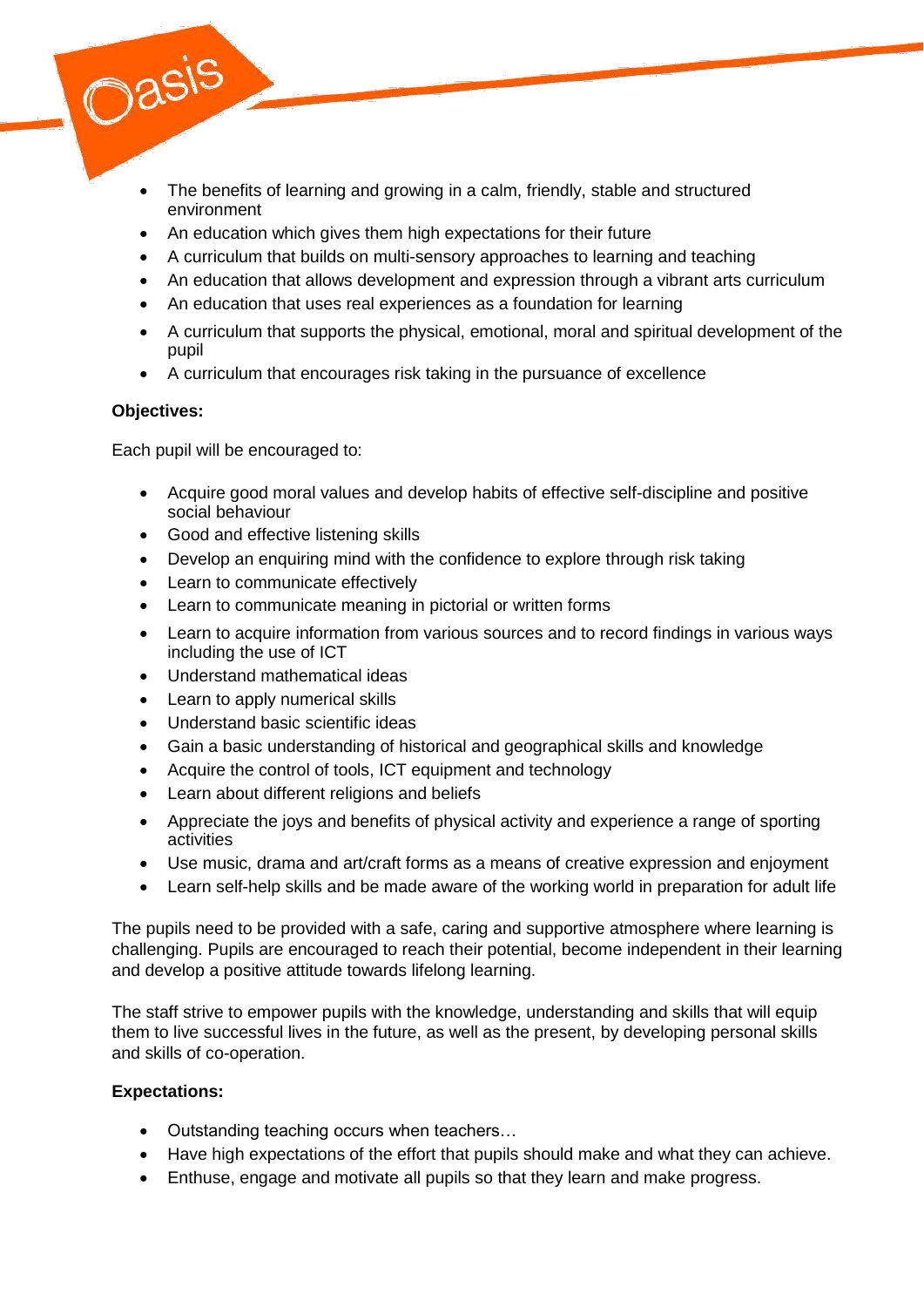

- The benefits of learning and growing in a calm, friendly, stable and structured environment
- An education which gives them high expectations for their future
- A curriculum that builds on multi-sensory approaches to learning and teaching
- An education that allows development and expression through a vibrant arts curriculum
- An education that uses real experiences as a foundation for learning
- A curriculum that supports the physical, emotional, moral and spiritual development of the pupil
- A curriculum that encourages risk taking in the pursuance of excellence

## **Objectives:**

Each pupil will be encouraged to:

- Acquire good moral values and develop habits of effective self-discipline and positive social behaviour
- Good and effective listening skills
- Develop an enquiring mind with the confidence to explore through risk taking
- Learn to communicate effectively
- Learn to communicate meaning in pictorial or written forms
- Learn to acquire information from various sources and to record findings in various ways including the use of ICT
- Understand mathematical ideas
- Learn to apply numerical skills
- Understand basic scientific ideas
- Gain a basic understanding of historical and geographical skills and knowledge
- Acquire the control of tools, ICT equipment and technology
- Learn about different religions and beliefs
- Appreciate the joys and benefits of physical activity and experience a range of sporting activities
- Use music, drama and art/craft forms as a means of creative expression and enjoyment
- Learn self-help skills and be made aware of the working world in preparation for adult life

The pupils need to be provided with a safe, caring and supportive atmosphere where learning is challenging. Pupils are encouraged to reach their potential, become independent in their learning and develop a positive attitude towards lifelong learning.

The staff strive to empower pupils with the knowledge, understanding and skills that will equip them to live successful lives in the future, as well as the present, by developing personal skills and skills of co-operation.

## **Expectations:**

- Outstanding teaching occurs when teachers...
- Have high expectations of the effort that pupils should make and what they can achieve.
- Enthuse, engage and motivate all pupils so that they learn and make progress.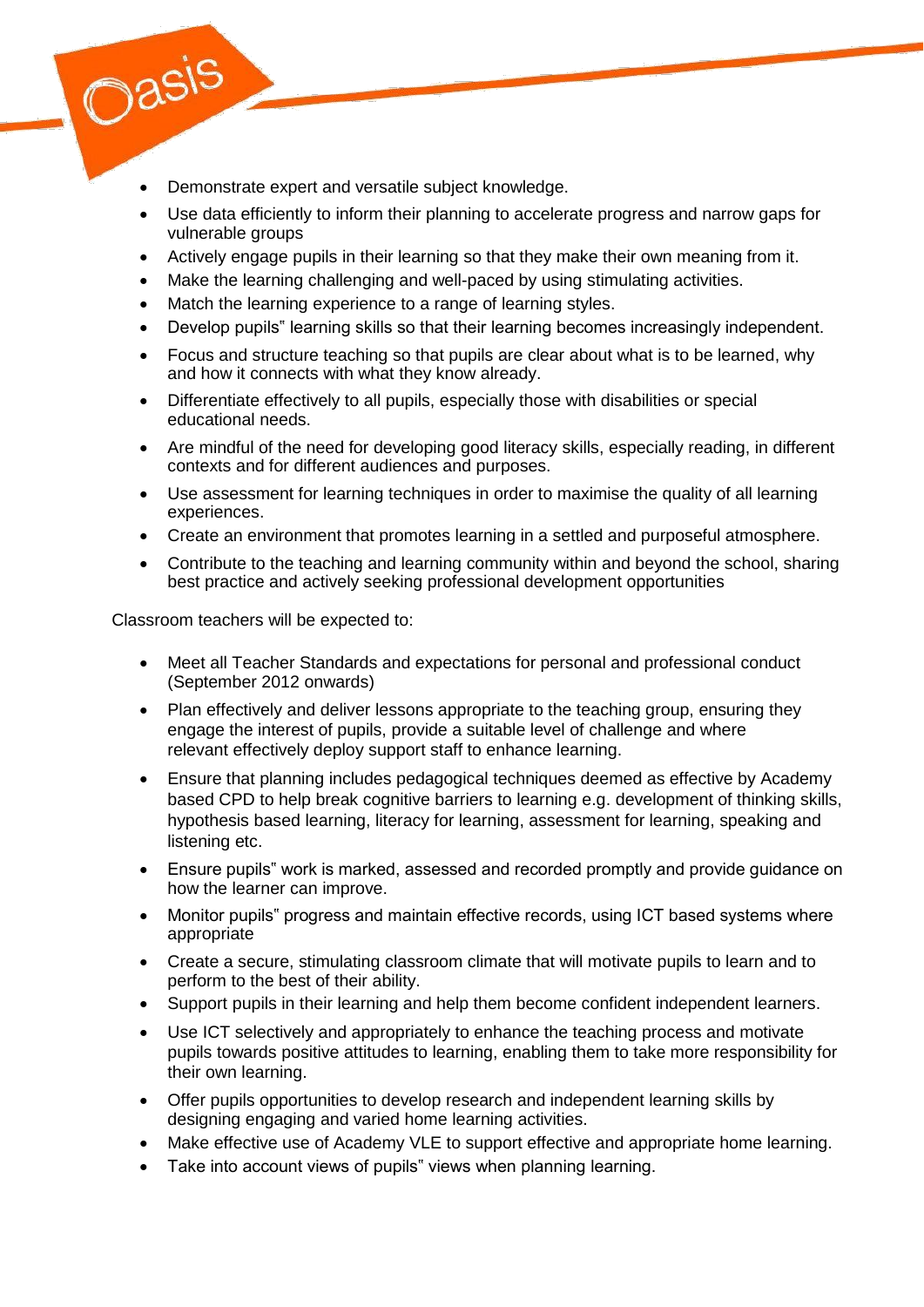- Demonstrate expert and versatile subject knowledge.
- Use data efficiently to inform their planning to accelerate progress and narrow gaps for vulnerable groups
- Actively engage pupils in their learning so that they make their own meaning from it.
- Make the learning challenging and well-paced by using stimulating activities.
- Match the learning experience to a range of learning styles.
- Develop pupils" learning skills so that their learning becomes increasingly independent.
- Focus and structure teaching so that pupils are clear about what is to be learned, why and how it connects with what they know already.
- Differentiate effectively to all pupils, especially those with disabilities or special educational needs.
- Are mindful of the need for developing good literacy skills, especially reading, in different contexts and for different audiences and purposes.
- Use assessment for learning techniques in order to maximise the quality of all learning experiences.
- Create an environment that promotes learning in a settled and purposeful atmosphere.
- Contribute to the teaching and learning community within and beyond the school, sharing best practice and actively seeking professional development opportunities

Classroom teachers will be expected to:

Oasis

- Meet all Teacher Standards and expectations for personal and professional conduct (September 2012 onwards)
- Plan effectively and deliver lessons appropriate to the teaching group, ensuring they engage the interest of pupils, provide a suitable level of challenge and where relevant effectively deploy support staff to enhance learning.
- Ensure that planning includes pedagogical techniques deemed as effective by Academy based CPD to help break cognitive barriers to learning e.g. development of thinking skills, hypothesis based learning, literacy for learning, assessment for learning, speaking and listening etc.
- Ensure pupils" work is marked, assessed and recorded promptly and provide guidance on how the learner can improve.
- Monitor pupils" progress and maintain effective records, using ICT based systems where appropriate
- Create a secure, stimulating classroom climate that will motivate pupils to learn and to perform to the best of their ability.
- Support pupils in their learning and help them become confident independent learners.
- Use ICT selectively and appropriately to enhance the teaching process and motivate pupils towards positive attitudes to learning, enabling them to take more responsibility for their own learning.
- Offer pupils opportunities to develop research and independent learning skills by designing engaging and varied home learning activities.
- Make effective use of Academy VLE to support effective and appropriate home learning.
- Take into account views of pupils" views when planning learning.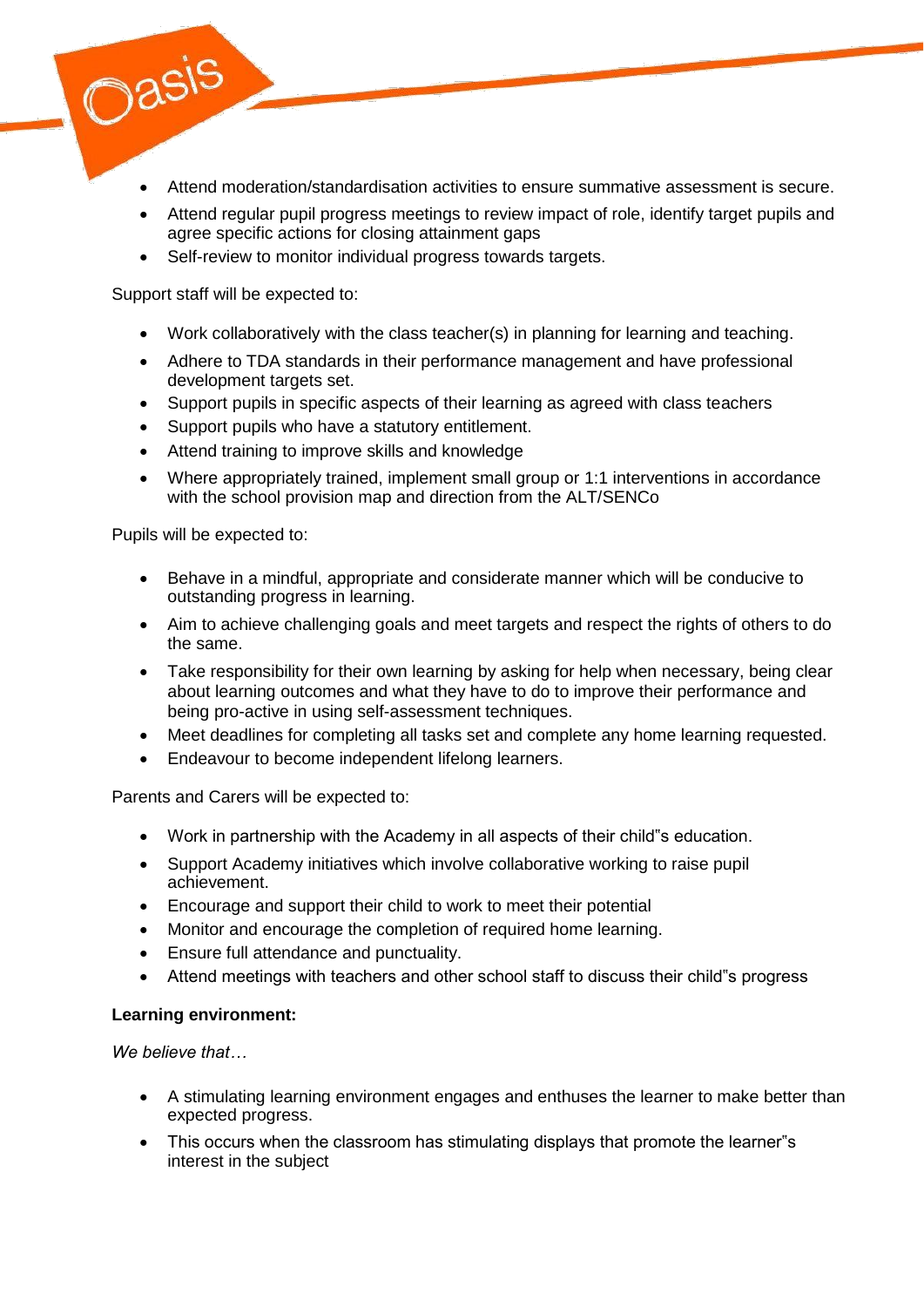- Attend moderation/standardisation activities to ensure summative assessment is secure.
- Attend regular pupil progress meetings to review impact of role, identify target pupils and agree specific actions for closing attainment gaps
- Self-review to monitor individual progress towards targets.

Support staff will be expected to:

Oasis

- Work collaboratively with the class teacher(s) in planning for learning and teaching.
- Adhere to TDA standards in their performance management and have professional development targets set.
- Support pupils in specific aspects of their learning as agreed with class teachers
- Support pupils who have a statutory entitlement.
- Attend training to improve skills and knowledge
- Where appropriately trained, implement small group or 1:1 interventions in accordance with the school provision map and direction from the ALT/SENCo

Pupils will be expected to:

- Behave in a mindful, appropriate and considerate manner which will be conducive to outstanding progress in learning.
- Aim to achieve challenging goals and meet targets and respect the rights of others to do the same.
- Take responsibility for their own learning by asking for help when necessary, being clear about learning outcomes and what they have to do to improve their performance and being pro-active in using self-assessment techniques.
- Meet deadlines for completing all tasks set and complete any home learning requested.
- **Endeavour to become independent lifelong learners.**

Parents and Carers will be expected to:

- Work in partnership with the Academy in all aspects of their child"s education.
- Support Academy initiatives which involve collaborative working to raise pupil achievement.
- Encourage and support their child to work to meet their potential
- Monitor and encourage the completion of required home learning.
- Ensure full attendance and punctuality.
- Attend meetings with teachers and other school staff to discuss their child"s progress

### **Learning environment:**

*We believe that…*

- A stimulating learning environment engages and enthuses the learner to make better than expected progress.
- This occurs when the classroom has stimulating displays that promote the learner"s interest in the subject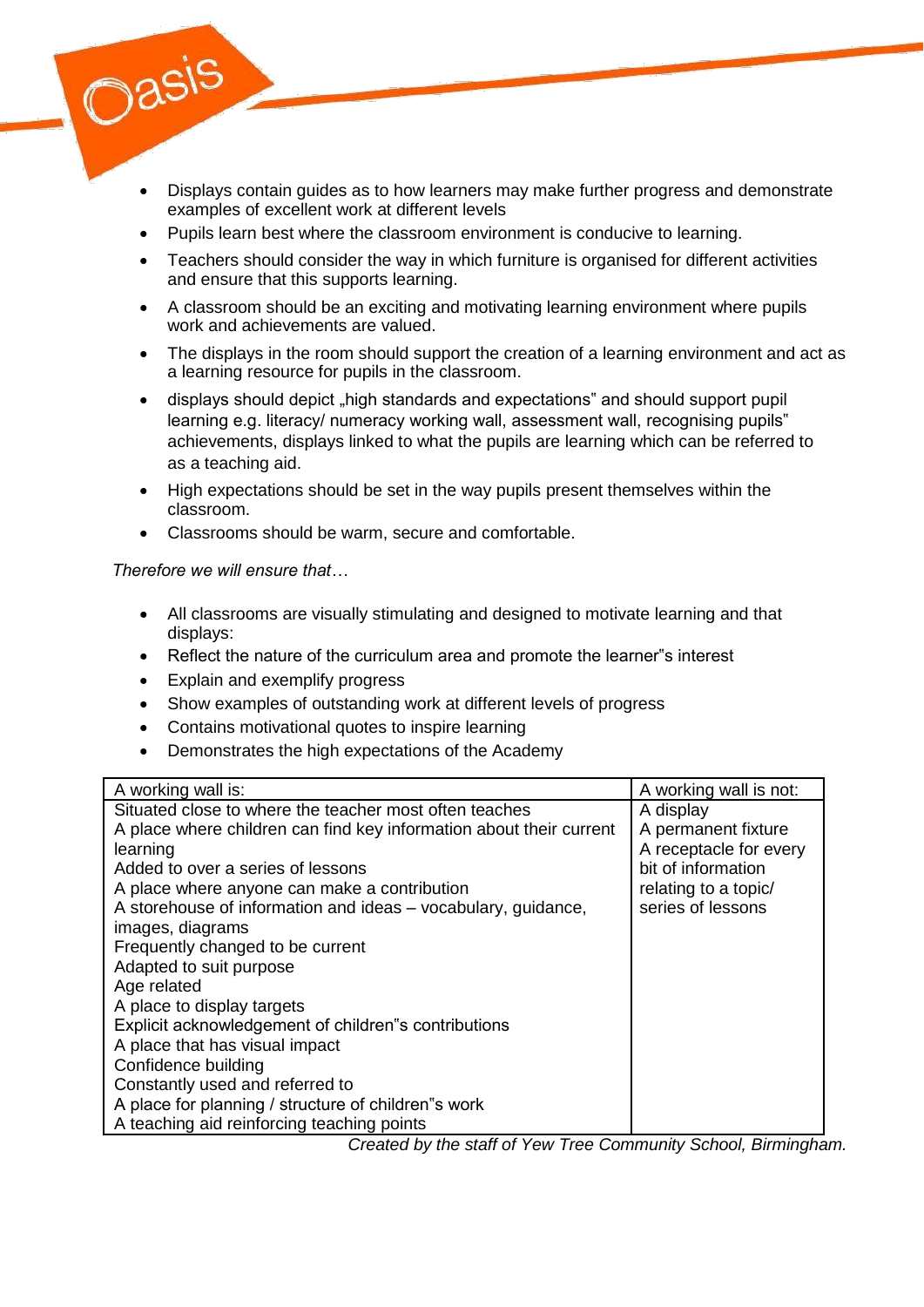

- Pupils learn best where the classroom environment is conducive to learning.
- Teachers should consider the way in which furniture is organised for different activities and ensure that this supports learning.
- A classroom should be an exciting and motivating learning environment where pupils work and achievements are valued.
- The displays in the room should support the creation of a learning environment and act as a learning resource for pupils in the classroom.
- displays should depict "high standards and expectations" and should support pupil learning e.g. literacy/ numeracy working wall, assessment wall, recognising pupils" achievements, displays linked to what the pupils are learning which can be referred to as a teaching aid.
- High expectations should be set in the way pupils present themselves within the classroom.
- Classrooms should be warm, secure and comfortable.

*Therefore we will ensure that…*

Oasis

- All classrooms are visually stimulating and designed to motivate learning and that displays:
- Reflect the nature of the curriculum area and promote the learner"s interest
- Explain and exemplify progress
- Show examples of outstanding work at different levels of progress
- Contains motivational quotes to inspire learning
- Demonstrates the high expectations of the Academy

| A working wall is:                                                  | A working wall is not:                |
|---------------------------------------------------------------------|---------------------------------------|
| Situated close to where the teacher most often teaches              | A display                             |
| A place where children can find key information about their current | A permanent fixture                   |
| learning                                                            | A receptacle for every                |
| Added to over a series of lessons                                   | bit of information                    |
| A place where anyone can make a contribution                        | relating to a topic/                  |
| A storehouse of information and ideas - vocabulary, guidance,       | series of lessons                     |
| images, diagrams                                                    |                                       |
| Frequently changed to be current                                    |                                       |
| Adapted to suit purpose                                             |                                       |
| Age related                                                         |                                       |
| A place to display targets                                          |                                       |
| Explicit acknowledgement of children"s contributions                |                                       |
| A place that has visual impact                                      |                                       |
| Confidence building                                                 |                                       |
| Constantly used and referred to                                     |                                       |
| A place for planning / structure of children"s work                 |                                       |
| A teaching aid reinforcing teaching points                          | $\sim$ $\sim$<br>$\sim$ $\sim$ $\sim$ |

*Created by the staff of Yew Tree Community School, Birmingham.*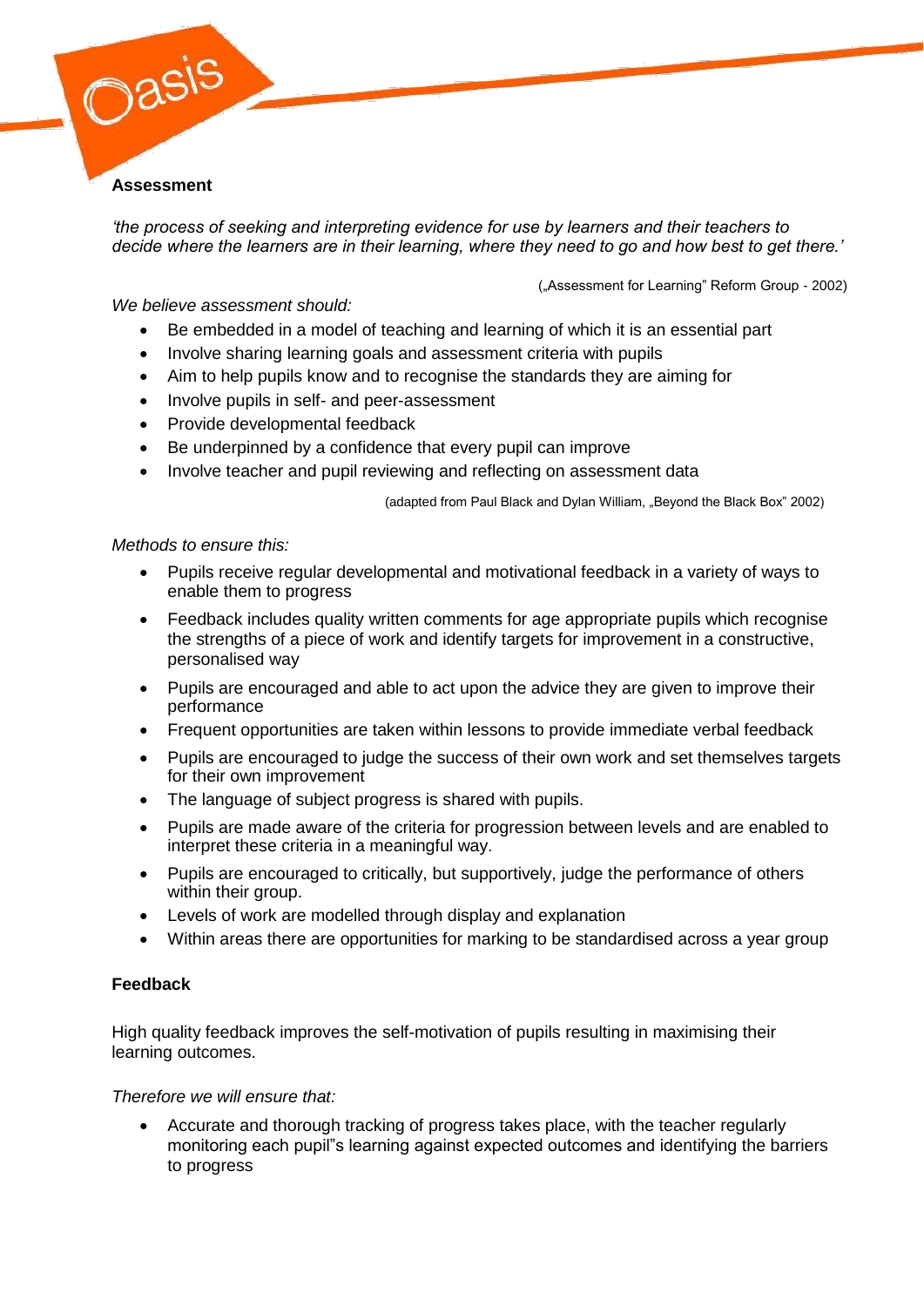#### **Assessment**

Oasis

*'the process of seeking and interpreting evidence for use by learners and their teachers to decide where the learners are in their learning, where they need to go and how best to get there.'*

("Assessment for Learning" Reform Group - 2002)

*We believe assessment should:*

- Be embedded in a model of teaching and learning of which it is an essential part
- Involve sharing learning goals and assessment criteria with pupils
- Aim to help pupils know and to recognise the standards they are aiming for
- Involve pupils in self- and peer-assessment
- Provide developmental feedback
- Be underpinned by a confidence that every pupil can improve
- Involve teacher and pupil reviewing and reflecting on assessment data

(adapted from Paul Black and Dylan William, "Beyond the Black Box" 2002)

#### *Methods to ensure this:*

- Pupils receive regular developmental and motivational feedback in a variety of ways to enable them to progress
- Feedback includes quality written comments for age appropriate pupils which recognise the strengths of a piece of work and identify targets for improvement in a constructive, personalised way
- Pupils are encouraged and able to act upon the advice they are given to improve their performance
- Frequent opportunities are taken within lessons to provide immediate verbal feedback
- Pupils are encouraged to judge the success of their own work and set themselves targets for their own improvement
- The language of subject progress is shared with pupils.
- Pupils are made aware of the criteria for progression between levels and are enabled to interpret these criteria in a meaningful way.
- Pupils are encouraged to critically, but supportively, judge the performance of others within their group.
- Levels of work are modelled through display and explanation
- Within areas there are opportunities for marking to be standardised across a year group

### **Feedback**

High quality feedback improves the self-motivation of pupils resulting in maximising their learning outcomes.

### *Therefore we will ensure that:*

 Accurate and thorough tracking of progress takes place, with the teacher regularly monitoring each pupil"s learning against expected outcomes and identifying the barriers to progress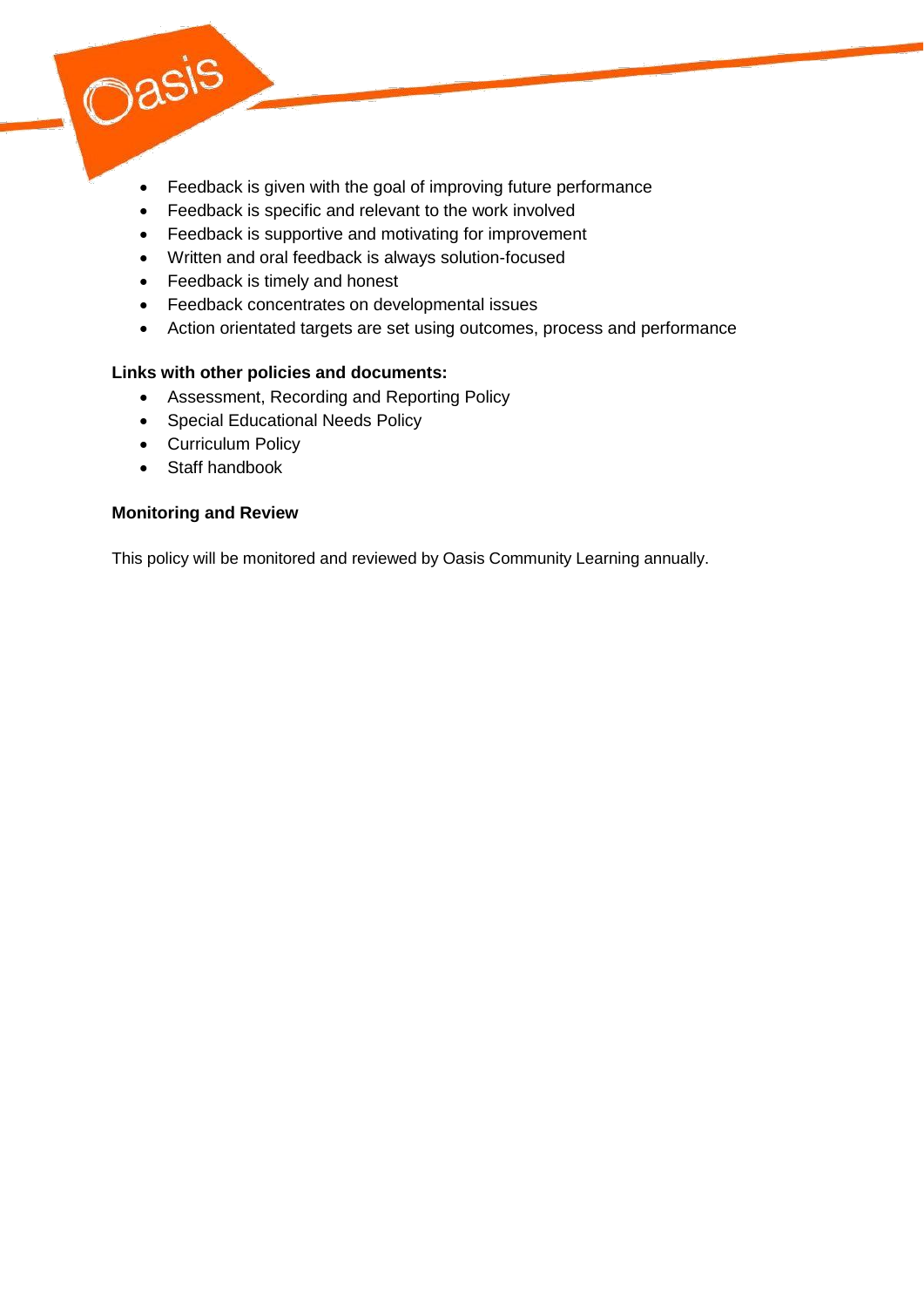

- Feedback is specific and relevant to the work involved
- Feedback is supportive and motivating for improvement
- Written and oral feedback is always solution-focused
- Feedback is timely and honest
- Feedback concentrates on developmental issues
- Action orientated targets are set using outcomes, process and performance

## **Links with other policies and documents:**

- Assessment, Recording and Reporting Policy
- Special Educational Needs Policy
- Curriculum Policy
- Staff handbook

Oasis

### **Monitoring and Review**

This policy will be monitored and reviewed by Oasis Community Learning annually.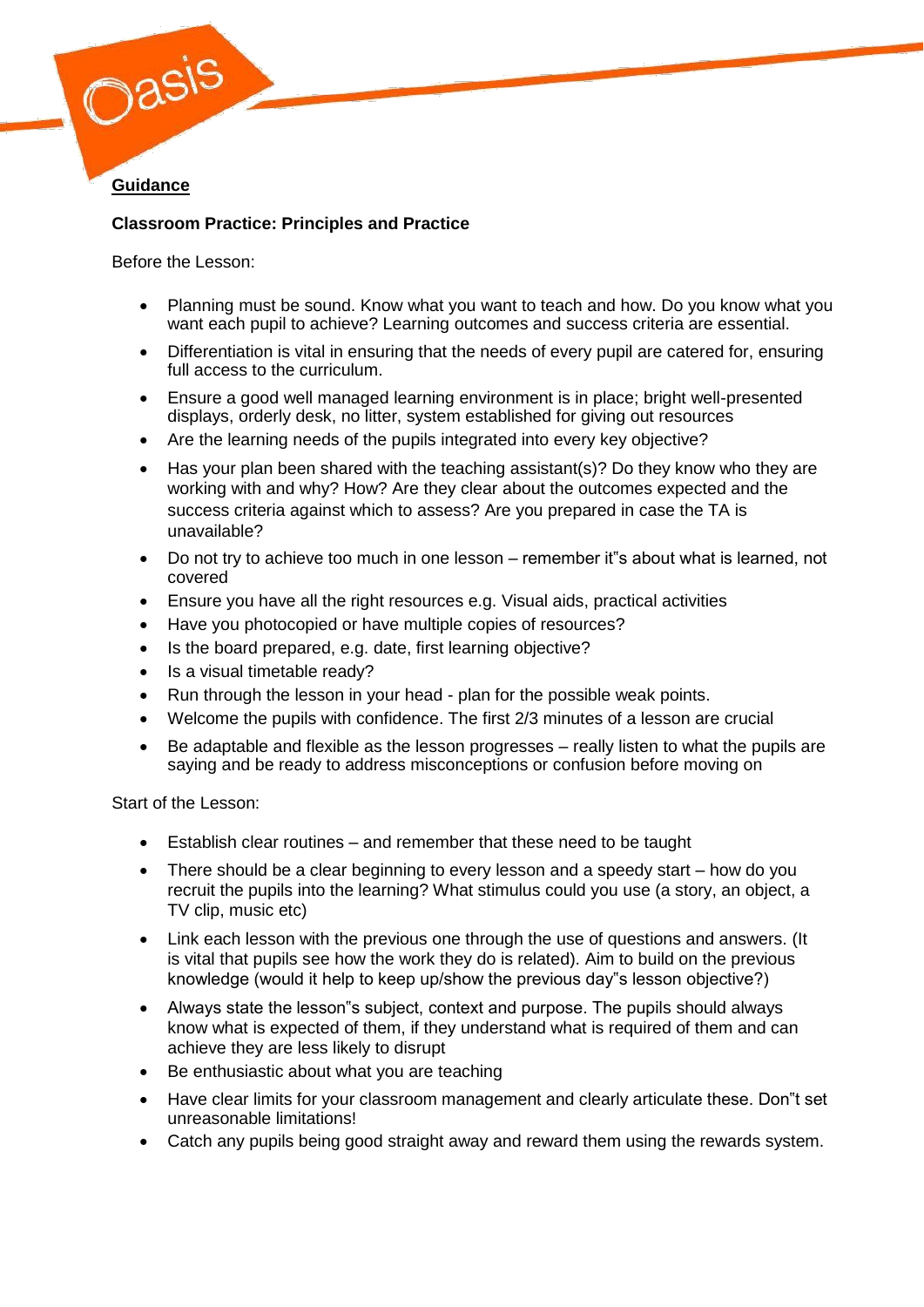

# **Classroom Practice: Principles and Practice**

Before the Lesson:

- Planning must be sound. Know what you want to teach and how. Do you know what you want each pupil to achieve? Learning outcomes and success criteria are essential.
- Differentiation is vital in ensuring that the needs of every pupil are catered for, ensuring full access to the curriculum.
- Ensure a good well managed learning environment is in place; bright well-presented displays, orderly desk, no litter, system established for giving out resources
- Are the learning needs of the pupils integrated into every key objective?
- Has your plan been shared with the teaching assistant(s)? Do they know who they are working with and why? How? Are they clear about the outcomes expected and the success criteria against which to assess? Are you prepared in case the TA is unavailable?
- Do not try to achieve too much in one lesson remember it"s about what is learned, not covered
- Ensure you have all the right resources e.g. Visual aids, practical activities
- Have you photocopied or have multiple copies of resources?
- Is the board prepared, e.g. date, first learning objective?
- Is a visual timetable ready?
- Run through the lesson in your head plan for the possible weak points.
- Welcome the pupils with confidence. The first 2/3 minutes of a lesson are crucial
- Be adaptable and flexible as the lesson progresses really listen to what the pupils are saying and be ready to address misconceptions or confusion before moving on

Start of the Lesson:

- Establish clear routines and remember that these need to be taught
- There should be a clear beginning to every lesson and a speedy start how do you recruit the pupils into the learning? What stimulus could you use (a story, an object, a TV clip, music etc)
- Link each lesson with the previous one through the use of questions and answers. (It is vital that pupils see how the work they do is related). Aim to build on the previous knowledge (would it help to keep up/show the previous day"s lesson objective?)
- Always state the lesson"s subject, context and purpose. The pupils should always know what is expected of them, if they understand what is required of them and can achieve they are less likely to disrupt
- Be enthusiastic about what you are teaching
- Have clear limits for your classroom management and clearly articulate these. Don"t set unreasonable limitations!
- Catch any pupils being good straight away and reward them using the rewards system.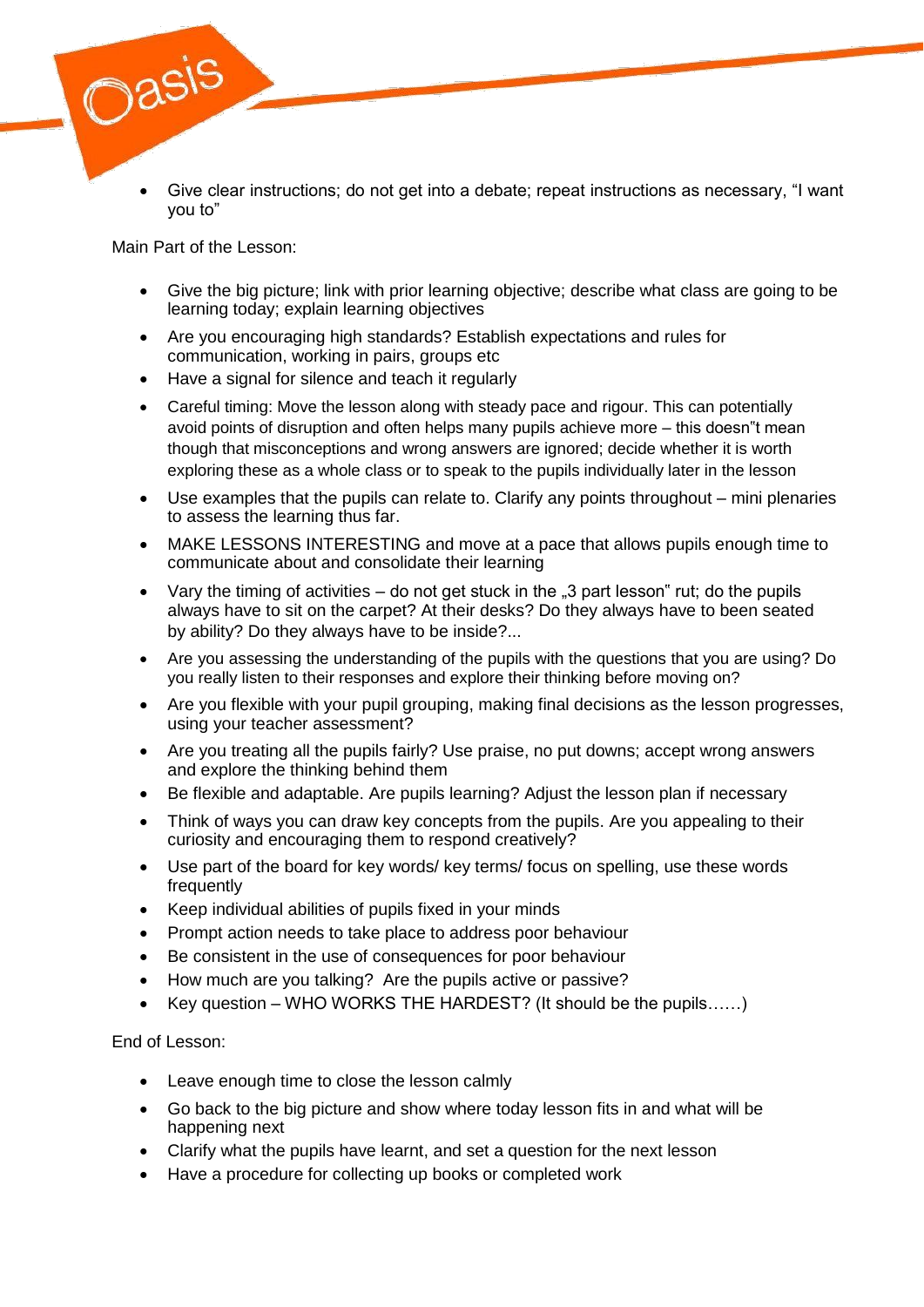

 Give clear instructions; do not get into a debate; repeat instructions as necessary, "I want you to"

Main Part of the Lesson:

- Give the big picture; link with prior learning objective; describe what class are going to be learning today; explain learning objectives
- Are you encouraging high standards? Establish expectations and rules for communication, working in pairs, groups etc
- Have a signal for silence and teach it regularly
- Careful timing: Move the lesson along with steady pace and rigour. This can potentially avoid points of disruption and often helps many pupils achieve more – this doesn"t mean though that misconceptions and wrong answers are ignored; decide whether it is worth exploring these as a whole class or to speak to the pupils individually later in the lesson
- Use examples that the pupils can relate to. Clarify any points throughout mini plenaries to assess the learning thus far.
- MAKE LESSONS INTERESTING and move at a pace that allows pupils enough time to communicate about and consolidate their learning
- Vary the timing of activities  $-$  do not get stuck in the  $\alpha$  part lesson" rut; do the pupils always have to sit on the carpet? At their desks? Do they always have to been seated by ability? Do they always have to be inside?...
- Are you assessing the understanding of the pupils with the questions that you are using? Do you really listen to their responses and explore their thinking before moving on?
- Are you flexible with your pupil grouping, making final decisions as the lesson progresses, using your teacher assessment?
- Are you treating all the pupils fairly? Use praise, no put downs; accept wrong answers and explore the thinking behind them
- Be flexible and adaptable. Are pupils learning? Adjust the lesson plan if necessary
- Think of ways you can draw key concepts from the pupils. Are you appealing to their curiosity and encouraging them to respond creatively?
- Use part of the board for key words/ key terms/ focus on spelling, use these words frequently
- Keep individual abilities of pupils fixed in your minds
- Prompt action needs to take place to address poor behaviour
- Be consistent in the use of consequences for poor behaviour
- How much are you talking? Are the pupils active or passive?
- Key question WHO WORKS THE HARDEST? (It should be the pupils……)

End of Lesson:

- Leave enough time to close the lesson calmly
- Go back to the big picture and show where today lesson fits in and what will be happening next
- Clarify what the pupils have learnt, and set a question for the next lesson
- Have a procedure for collecting up books or completed work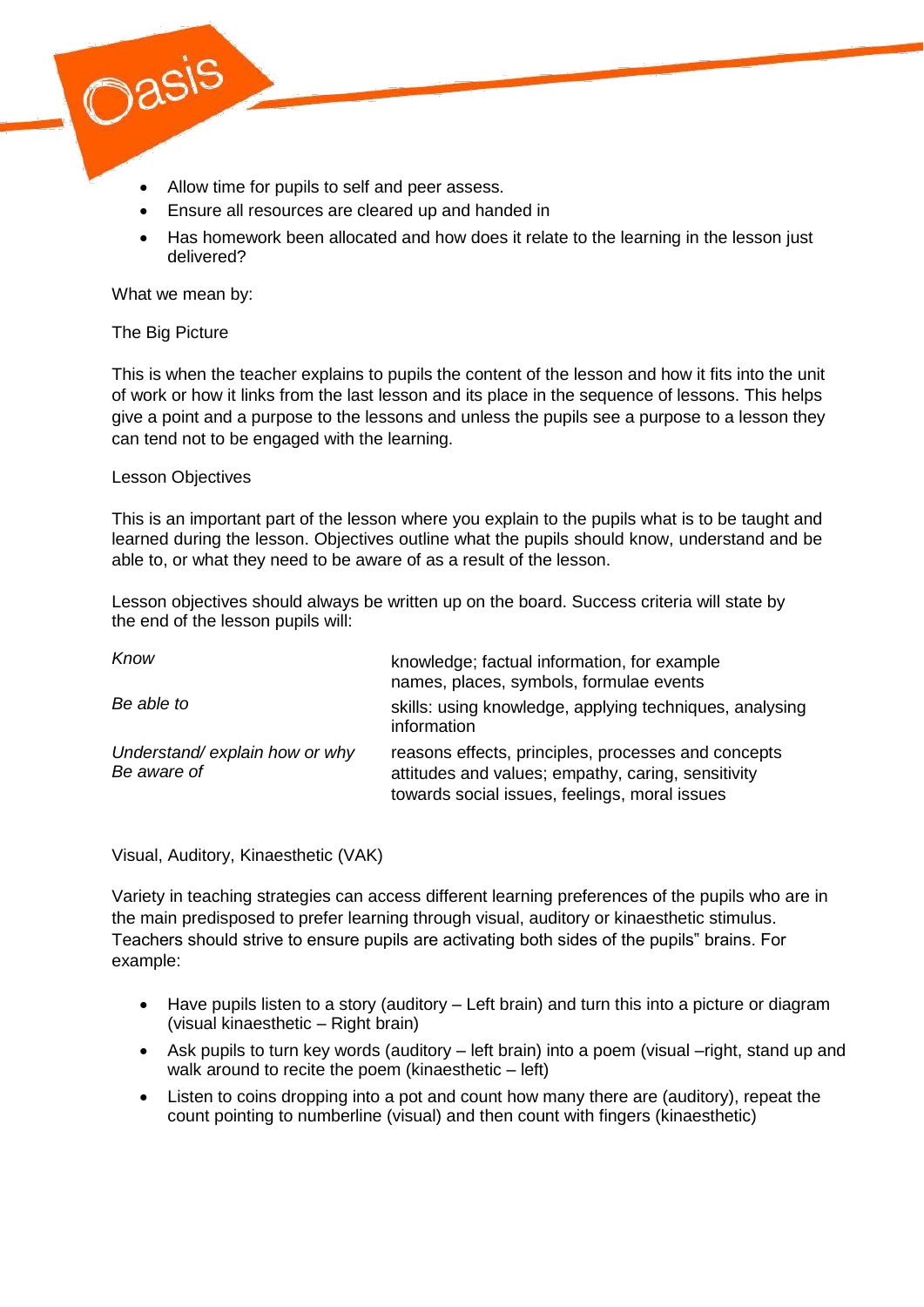

- Allow time for pupils to self and peer assess.
- Ensure all resources are cleared up and handed in
- Has homework been allocated and how does it relate to the learning in the lesson just delivered?

What we mean by:

#### The Big Picture

This is when the teacher explains to pupils the content of the lesson and how it fits into the unit of work or how it links from the last lesson and its place in the sequence of lessons. This helps give a point and a purpose to the lessons and unless the pupils see a purpose to a lesson they can tend not to be engaged with the learning.

#### Lesson Objectives

This is an important part of the lesson where you explain to the pupils what is to be taught and learned during the lesson. Objectives outline what the pupils should know, understand and be able to, or what they need to be aware of as a result of the lesson.

Lesson objectives should always be written up on the board. Success criteria will state by the end of the lesson pupils will:

| Know                                         | knowledge; factual information, for example<br>names, places, symbols, formulae events                                                                     |
|----------------------------------------------|------------------------------------------------------------------------------------------------------------------------------------------------------------|
| Be able to                                   | skills: using knowledge, applying techniques, analysing<br>information                                                                                     |
| Understand/explain how or why<br>Be aware of | reasons effects, principles, processes and concepts<br>attitudes and values; empathy, caring, sensitivity<br>towards social issues, feelings, moral issues |

Visual, Auditory, Kinaesthetic (VAK)

Variety in teaching strategies can access different learning preferences of the pupils who are in the main predisposed to prefer learning through visual, auditory or kinaesthetic stimulus. Teachers should strive to ensure pupils are activating both sides of the pupils" brains. For example:

- Have pupils listen to a story (auditory Left brain) and turn this into a picture or diagram (visual kinaesthetic – Right brain)
- Ask pupils to turn key words (auditory left brain) into a poem (visual –right, stand up and walk around to recite the poem (kinaesthetic – left)
- Listen to coins dropping into a pot and count how many there are (auditory), repeat the count pointing to numberline (visual) and then count with fingers (kinaesthetic)